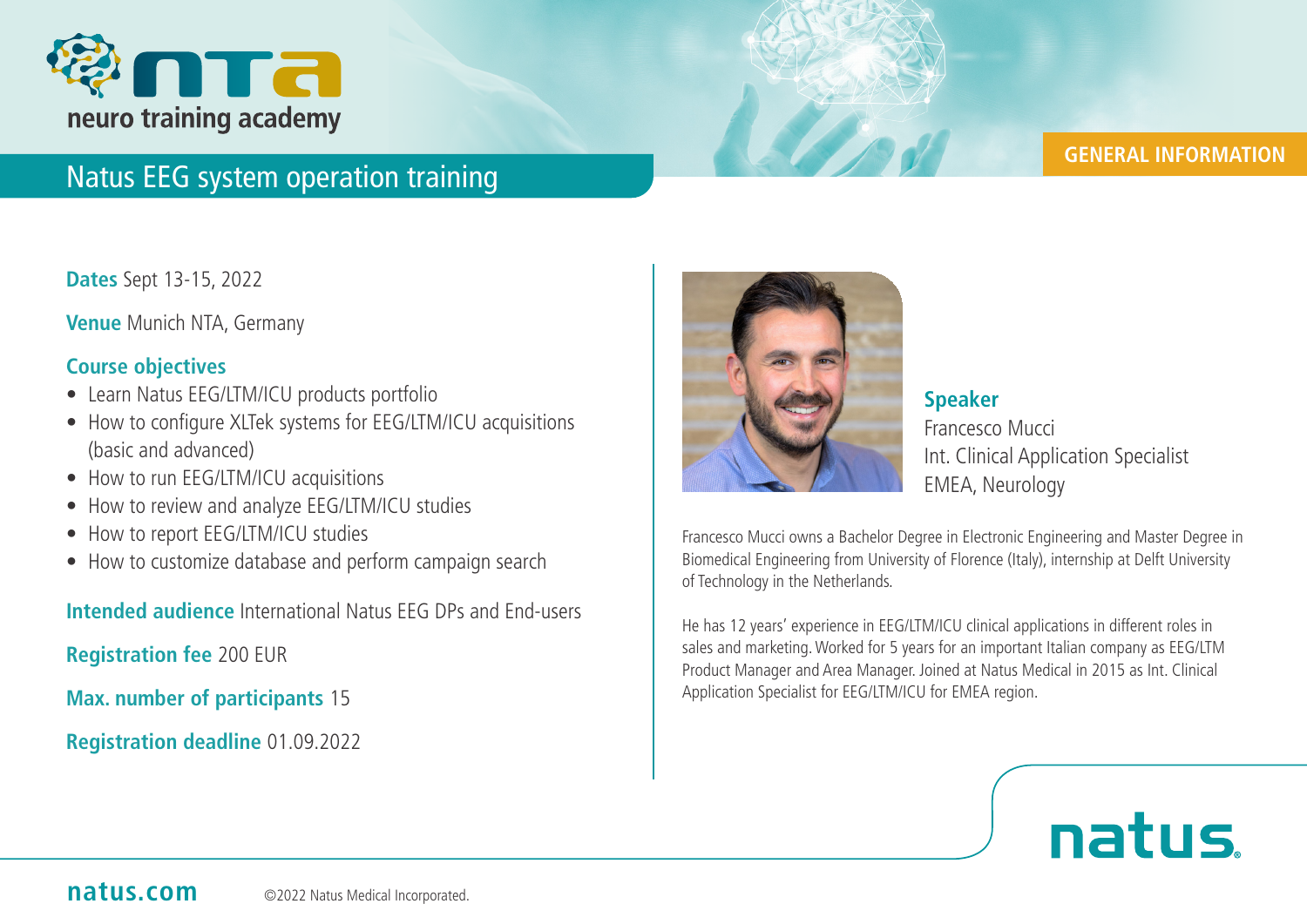

## **GENERAL INFORMATION**

## Natus EEG system operation training

**Dates** Sept 13-15, 2022

**Venue** Munich NTA, Germany

## **Course objectives**

- Learn Natus EEG/LTM/ICU products portfolio
- How to configure XLTek systems for EEG/LTM/ICU acquisitions (basic and advanced)
- How to run EEG/LTM/ICU acquisitions
- How to review and analyze EEG/LTM/ICU studies
- How to report EEG/LTM/ICU studies
- How to customize database and perform campaign search

**Intended audience** International Natus EEG DPs and End-users

**Registration fee** 200 EUR

**Max. number of participants** 15

**Registration deadline** 01.09.2022



**Speaker** Francesco Mucci Int. Clinical Application Specialist EMEA, Neurology

Francesco Mucci owns a Bachelor Degree in Electronic Engineering and Master Degree in Biomedical Engineering from University of Florence (Italy), internship at Delft University of Technology in the Netherlands.

He has 12 years' experience in EEG/LTM/ICU clinical applications in different roles in sales and marketing. Worked for 5 years for an important Italian company as EEG/LTM Product Manager and Area Manager. Joined at Natus Medical in 2015 as Int. Clinical Application Specialist for EEG/LTM/ICU for EMEA region.

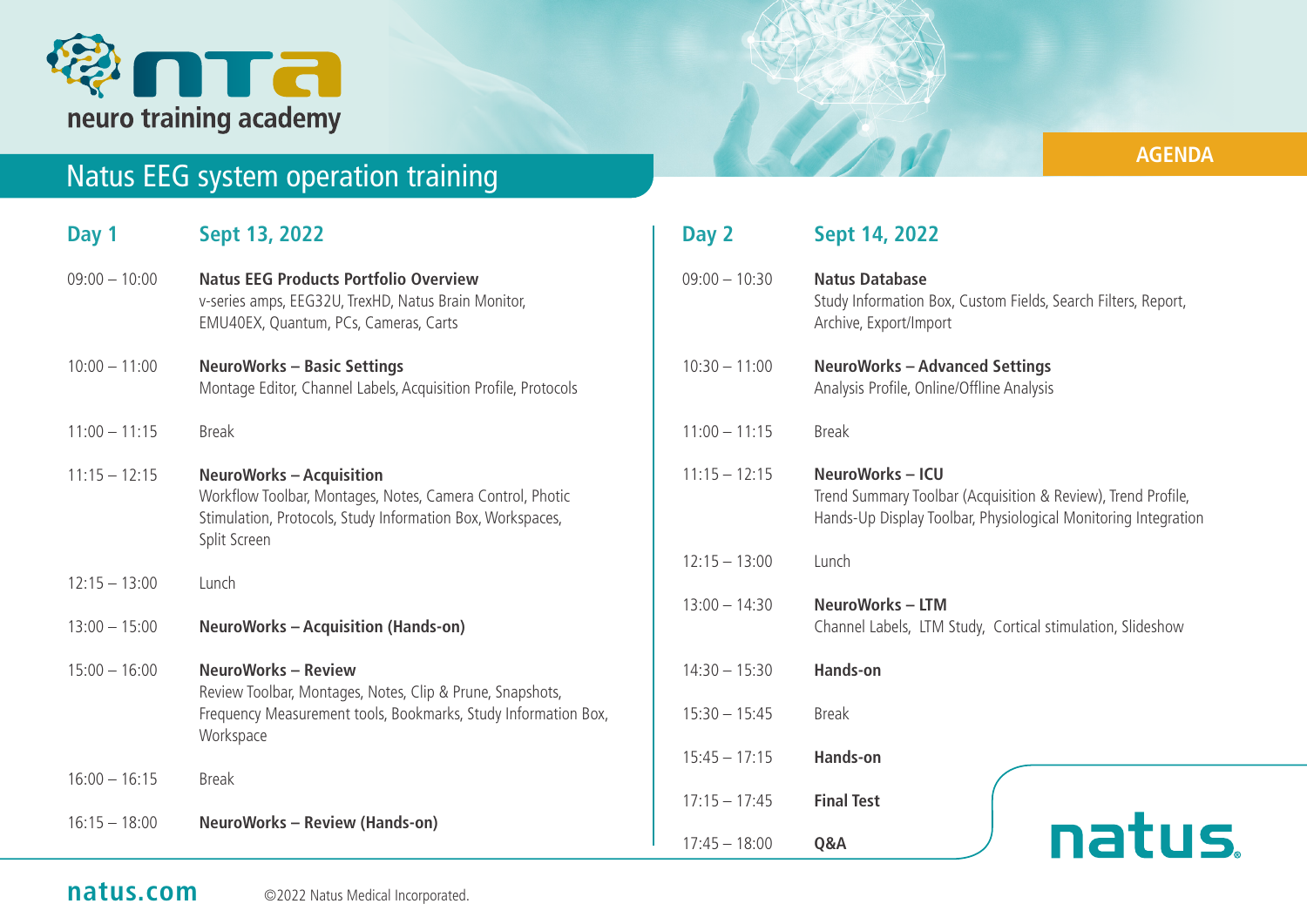

# Natus EEG system operation training

**AGENDA**

**De de de la Cardina de la Cardina de la Cardina de la Cardina de la Cardina de la Cardina de la Ca** 

| Day 1           | Sept 13, 2022                                                                                                                                                              | Day 2           | Sept 14, 2022                                                                                                                                    |
|-----------------|----------------------------------------------------------------------------------------------------------------------------------------------------------------------------|-----------------|--------------------------------------------------------------------------------------------------------------------------------------------------|
| $09:00 - 10:00$ | <b>Natus EEG Products Portfolio Overview</b><br>v-series amps, EEG32U, TrexHD, Natus Brain Monitor,<br>EMU40EX, Quantum, PCs, Cameras, Carts                               | $09:00 - 10:30$ | <b>Natus Database</b><br>Study Information Box, Custom Fields, Search Filters, Report,<br>Archive, Export/Import                                 |
| $10:00 - 11:00$ | <b>NeuroWorks - Basic Settings</b><br>Montage Editor, Channel Labels, Acquisition Profile, Protocols                                                                       | $10:30 - 11:00$ | <b>NeuroWorks - Advanced Settings</b><br>Analysis Profile, Online/Offline Analysis                                                               |
| $11:00 - 11:15$ | <b>Break</b>                                                                                                                                                               | $11:00 - 11:15$ | <b>Break</b>                                                                                                                                     |
| $11:15 - 12:15$ | <b>NeuroWorks - Acquisition</b><br>Workflow Toolbar, Montages, Notes, Camera Control, Photic<br>Stimulation, Protocols, Study Information Box, Workspaces,<br>Split Screen | $11:15 - 12:15$ | NeuroWorks-ICU<br>Trend Summary Toolbar (Acquisition & Review), Trend Profile,<br>Hands-Up Display Toolbar, Physiological Monitoring Integration |
| $12:15 - 13:00$ | Lunch                                                                                                                                                                      | $12:15 - 13:00$ | Lunch                                                                                                                                            |
| $13:00 - 15:00$ | <b>NeuroWorks - Acquisition (Hands-on)</b>                                                                                                                                 | $13:00 - 14:30$ | <b>NeuroWorks - LTM</b><br>Channel Labels, LTM Study, Cortical stimulation, Slideshow                                                            |
| $15:00 - 16:00$ | <b>NeuroWorks - Review</b>                                                                                                                                                 | $14:30 - 15:30$ | <b>Hands-on</b>                                                                                                                                  |
|                 | Review Toolbar, Montages, Notes, Clip & Prune, Snapshots,<br>Frequency Measurement tools, Bookmarks, Study Information Box,<br>Workspace                                   | $15:30 - 15:45$ | <b>Break</b>                                                                                                                                     |
| $16:00 - 16:15$ | <b>Break</b>                                                                                                                                                               | $15:45 - 17:15$ | <b>Hands-on</b>                                                                                                                                  |
|                 |                                                                                                                                                                            | $17:15 - 17:45$ | <b>Final Test</b>                                                                                                                                |
| $16:15 - 18:00$ | <b>NeuroWorks - Review (Hands-on)</b>                                                                                                                                      | $17:45 - 18:00$ | natus.<br>Q&A                                                                                                                                    |

## **natus.com** © 2022 Natus Medical Incorporated.